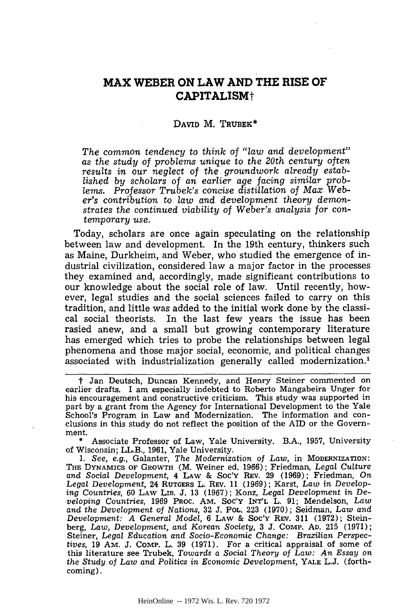# **MAX WEBER ON LAW AND THE RISE OF CAPITALISMt**

## **DAVID** M. TRUBEK\*

*The common tendency to think of "law and development" as the study of problems unique to the 20th century often results in our neglect of the groundwork already established by scholars of an earlier age facing similar problems. Professor Trubek's concise distillation of Max Weber's contribution to law and development theory demonstrates the continued viability of Weber's analysis for contemporary use.*

Today, scholars are once again speculating on the relationship between law and development. In the 19th century, thinkers such as Maine, Durkheim, and Weber, who studied the emergence of industrial civilization, considered law a major factor in the processes they examined and, accordingly, made significant contributions to our knowledge about the social role of law. Until recently, however, legal studies and the social sciences failed to carry on this tradition, and little was added to the initial work done by the classical social theorists. In the last few years the issue has been rasied anew, and a small but growing contemporary literature has emerged which tries to probe the relationships between legal phenomena and those major social, economic, and political changes associated with industrialization generally called modernization.'

\* Associate Professor of Law, Yale University. B.A., 1957, University

t Jan Deutsch, Duncan Kennedy, and Henry Steiner commented on earlier drafts. I am especially indebted to Roberto Mangabeira Unger for his encouragement and constructive criticism. This study was supported in part by a grant from the Agency for International Development to the Yale School's Program in Law and Modernization. The information and conclusions in this study do not reflect the position of the AID or the Government.

of Wisconsin; LL.B., 1961, Yale University. *1. See, e.g.,* Galanter, *The Modernization of Law,* in **MODERNIZATION: THE DYNAMICS OF GROWTH** (M. Weiner ed. 1966); Friedman, *Legal Culture and Social Development,* 4 LAW & Soc'Y **REV.** 29 (1969); Friedman, *On Legal Development,* 24 RUTGERS L. REV. 11 (1969); Karst, *Law in Developing Countries,* 60 **LAW** LIB. J. 13 (1967); Konz, *Legal Development in Developing Countries,* 1969 PROC. AM. **Soc'Y INT'L** L. 91; Mendelson, *Law and the Development of Nations,* 32 J. POL. 223 (1970); Seidman, *Law and Development: A General Model,* **6 LAW &** Soc'Y REV. 311 (1972); Steinberg, *Law, Development, and Korean Society,* **3** J. CoMp. **AD. 215** (1971); Steiner, *Legal Education and Socio-Economic Change: Brazilian Perspectives,* 19 AM. J. COMP. L. 39 (1971). For a critical appraisal of some of this literature see Trubek, *Towards a Social Theory of Law: An Essay* on *the Study of Law and Politics in Economic Development,* **YALE** L.J. (forthcoming).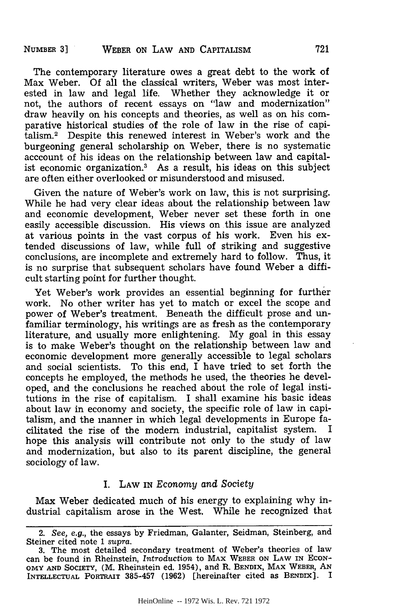The contemporary literature owes a great debt to the work of Max Weber. Of all the classical writers, Weber was most interested in law and legal life. Whether they acknowledge it or not, the authors of recent essays on "law and modernization" draw heavily on his concepts and theories, as well as on his comparative historical studies of the role of law in the rise of capitalism.<sup>2</sup> Despite this renewed interest in Weber's work and the burgeoning general scholarship on Weber, there is no systematic acccount of his ideas on the relationship between law and capitalist economic organization.<sup>3</sup> As a result, his ideas on this subject are often either overlooked or misunderstood and misused.

Given the nature of Weber's work on law, this is not surprising. While he had very clear ideas about the relationship between law and economic development, Weber never set these forth in one easily accessible discussion. His views on this issue are analyzed at various points in the vast corpus of his work. Even his extended discussions of law, while full of striking and suggestive conclusions, are incomplete and extremely hard to follow. Thus, it is no surprise that subsequent scholars have found Weber a difficult starting point for further thought.

Yet Weber's work provides an essential beginning for further work. No other writer has yet to match or excel the scope and power of Weber's treatment. Beneath the difficult prose and unfamiliar terminology, his writings are as fresh as the contemporary literature, and usually more enlightening. My goal in this essay is to make Weber's thought on the relationship between law and economic development more generally accessible to legal scholars and social scientists. To this end, I have tried to set forth the concepts he employed, the methods he used, the theories he developed, and the conclusions he reached about the role of legal institutions in the rise of capitalism. I shall examine his basic ideas about law in economy and society, the specific role of law in capitalism, and the manner in which legal developments in Europe facilitated the rise of the modem industrial, capitalist system. I hope this analysis will contribute not only to the study of law and modernization, but also to its parent discipline, the general sociology of law.

## I. LAW **IN** *Economy and Society*

Max Weber dedicated much of his energy to explaining why industrial capitalism arose in the West. While he recognized that

<sup>2.</sup> *See, e.g.,* the essays by Friedman, Galanter, Seidman, Steinberg, and Steiner cited note 1 *supra.*

<sup>3.</sup> The most detailed secondary treatment of Weber's theories of law can be found in Rheinstein, *Introduction* to MAX **WEBER ON** LAW **IN ECON-OMY AND** SOCIETY, (M. Rheinstein ed. 1954), and R. BENDIX, MAX WEBER, **AN INTELLECTUAL** PORTRAIT 385-457 (1962) [hereinafter cited as **BENDIX].** I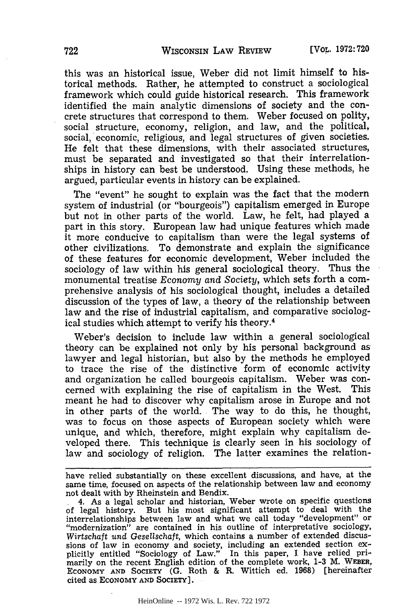this was an historical issue, Weber did not limit himself to historical methods. Rather, he attempted to construct a sociological framework which could guide historical research. This framework identified the main analytic dimensions of society and the concrete structures that correspond to them. Weber focused on polity, social structure, economy, religion, and law, and the political, social, economic, religious, and legal structures of given societies. He felt that these dimensions, with their associated structures, must be separated and investigated so that their interrelationships in history can best be understood. Using these methods, he argued, particular events in history can be explained.

The "event" he sought to explain was the fact that the modern system of industrial (or "bourgeois") capitalism emerged in Europe but not in other parts of the world. Law, he felt, had played a part in this story. European law had unique features which made it more conducive to capitalism than were the legal systems of other civilizations. To demonstrate and explain the significance of these features for economic development, Weber included the sociology of law within his general sociological theory. Thus the monumental treatise *Economy and Society,* which sets forth a comprehensive analysis of his sociological thought, includes a detailed discussion of the types of law, a theory of the relationship between law and the rise of industrial capitalism, and comparative sociological studies which attempt to verify his theory.4

Weber's decision to include law within a general sociological theory can be explained not only by his personal background as lawyer and legal historian, but also by the methods he employed to trace the rise of the distinctive form of economic activity and organization he called bourgeois capitalism. Weber was concerned with explaining the rise of capitalism in the West. This meant he had to discover why capitalism arose in Europe and not in other parts of the world. The way to do this, he thought, was to focus on those aspects of European society which were unique, and which, therefore, might explain why capitalism developed there. This technique is clearly seen in his sociology of law and sociology of religion. The latter examines the relation-

have relied substantially on these excellent discussions, and have, at the same time, focused on aspects of the relationship between law and economy not dealt with by Rheinstein and Bendix.

4. As a legal scholar and historian, Weber wrote on specific questions of legal history. But his most significant attempt to deal with the interrelationships between law and what we call today "development" or "modernization" are contained in his outline of interpretative sociology, *Wirtschaft und Gesellschaft,* which contains a number of extended discussions of law in economy and society, including an extended section explicitly entitled "Sociology of Law." In this paper, **I** have relied primarily on the recent English edition of the complete work, 1-3 M. **WEBER, ECONOMY AND** SOCIETY **(G.** Roth & R. Wittich ed. 1968) [hereinafter cited as **ECONOMY AND** SOCIETY].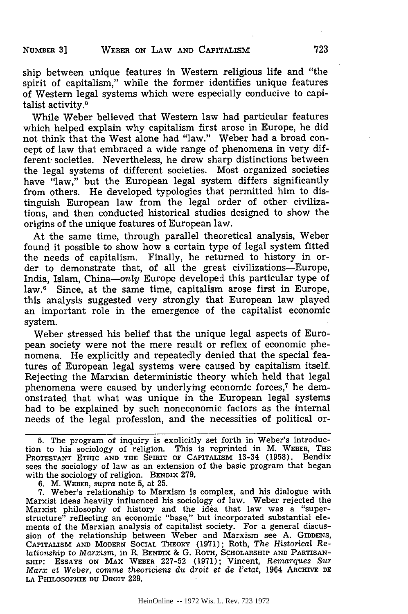ship between unique features in Western religious life and "the spirit of capitalism," while the former identifies unique features of Western legal systems which were especially conducive to capitalist activity.<sup>5</sup>

While Weber believed that Western law had particular features which helped explain why capitalism first arose in Europe, he did not think that the West alone had "law." Weber had a broad concept of law that embraced a wide range of phenomena in very different- societies. Nevertheless, he drew sharp distinctions between the legal systems of different societies. Most organized societies have "law," but the European legal system differs significantly from others. He developed typologies that permitted him to distinguish European law from the legal order of other civilizations, and then conducted historical studies designed to show the origins of the unique features of European law.

At the same time, through parallel theoretical analysis, Weber found it possible to show how a certain type of legal system fitted the needs of capitalism. Finally, he returned to history in order to demonstrate that, of all the great civilizations-Europe, India, Islam, China-only Europe developed this particular type of law. $6$  Since, at the same time, capitalism arose first in Europe, this analysis suggested very strongly that European law played an important role in the emergence of the capitalist economic system.

Weber stressed his belief that the unique legal aspects of European society were not the mere result or reflex of economic phenomena. He explicitly and repeatedly denied that the special features of European legal systems were caused by capitalism itself. Rejecting the Marxian deterministic theory which held that legal phenomena were caused by underlying economic forces,7 he demonstrated that what was unique in the European legal systems had to be explained by such noneconomic factors as the internal needs of the legal profession, and the necessities of political or-

**6.** M. **WEBER,** *supra* note **5,** at **25.**

<sup>5.</sup> The program of inquiry is explicitly set forth in Weber's introduction to his sociology of religion. This is reprinted in M. **WEBER,** THE **PROTESTANT ETHIC AND THE SPIRIT OF CAPITALISM** 13-34 **(1958).** Bendix sees the sociology of law as an extension of the basic program that began with the sociology of religion. **BENDIX 279.**

**<sup>7.</sup>** Weber's relationship to Marxism is complex, and his dialogue with Marxist ideas heavily influenced his sociology of law. Weber rejected the Marxist philosophy of history and the idea that law was a "superstructure" reflecting an economic "base," but incorporated substantial elements of the Marxian analysis of capitalist society. For a general discussion of the relationship between Weber and Marxism see **A. GIDDENS, CAPITALISM AND MODERN SOCIAL THEORY (1971);** Roth, *The Historical Relationship* to *Marxism,* in R. BENDIX **& G. ROTH, SCHOLARSHIP AND PARTISAN-SHIP: ESSAYS ON** MAX **WEBER** 227-52 (1971); Vincent, *Remarques Sur Marx* et *Weber,* comme theoriciens du *droit et* de l'etat, 1964 ARCHIVE **DE LA** PHILOSOPHIE **DU** DROIT 229.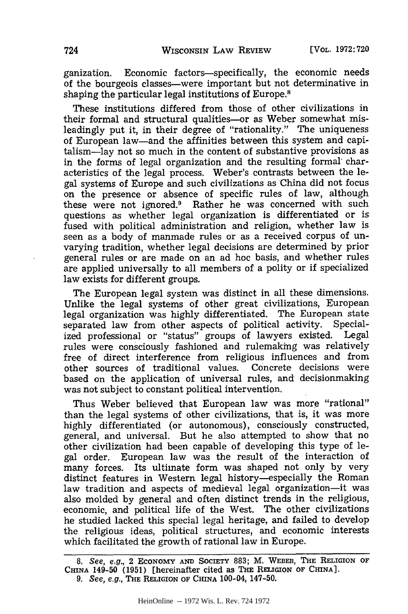ganization. Economic factors-specifically, the economic needs of the bourgeois classes-were important but not determinative in shaping the particular legal institutions of Europe.<sup>8</sup>

These institutions differed from those of other civilizations in their formal and structural qualities-or as Weber somewhat misleadingly put it, in their degree of "rationality." The uniqueness of European law-and the affinities between this system and capitalism-lay not so much in the content of substantive provisions as in the forms of legal organization and the resulting formal characteristics of the legal process. Weber's contrasts between the legal systems of Europe and such civilizations as China did not focus on the presence or absence of specific rules of law, although these were not ignored.9 Rather he was concerned with such questions as whether legal organization is differentiated or is fused with political administration and religion, whether law is seen as a body of manmade rules or as a received corpus of unvarying tradition, whether legal decisions are determined by prior general rules or are made on an ad hoc basis, and whether rules are applied universally to all members of a polity or if specialized law exists for different groups.

The European legal system was distinct in all these dimensions. Unlike the legal systems of other great civilizations, European legal organization was highly differentiated. The European state separated law from other aspects of political activity. Specialized professional or "status" groups of lawyers existed. Legal rules were consciously fashioned and rulemaking was relatively free of direct interference from religious influences and from other sources of traditional values. Concrete decisions were based on the application of universal rules, and decisionmaking was not subject to constant political intervention.

Thus Weber believed that European law was more "rational" than the legal systems of other civilizations, that is, it was more highly differentiated (or autonomous), consciously constructed, general, and universal. But he also attempted to show that no other civilization had been capable of developing this type of legal order. European law was the result of the interaction of many forces. Its ultimate form was shaped not only by very distinct features in Western legal history-especially the Roman law tradition and aspects of medieval legal organization-it was also molded by general and often distinct trends in the religious, economic, and political life of the West. The other civilizations he studied lacked this special legal heritage, and failed to develop the religious ideas, political structures, and economic interests which facilitated the growth of rational law in Europe.

<sup>8.</sup> See, e.g., 2 **ECONOMY AND SOCIETY** 883; M. WEBER, **THE RELIGION OF CHINA** 149-50 **(1951)** [hereinafter cited as **THE** RELIGION **OF** CHINA].

*<sup>9.</sup> See,* e.g., **THE** RELIGION **OF CHINA** 100-04, 147-50.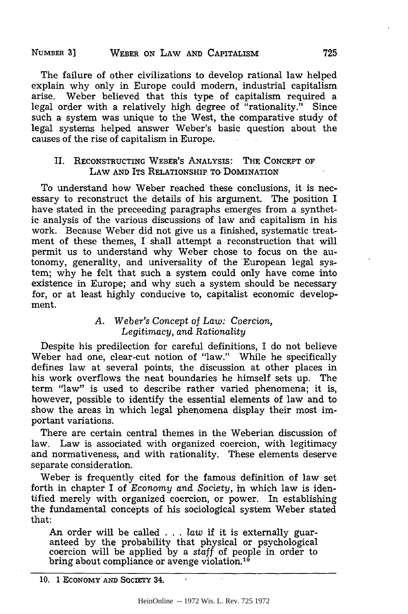The failure of other civilizations to develop rational law helped explain why only in Europe could modern, industrial capitalism arise. Weber believed that this type of capitalism required a legal order with a relatively high degree of "rationality." Since such a system was unique to the West, the comparative study of legal systems helped answer Weber's basic question about the causes of the rise of capitalism in Europe.

## II. RECONSTRUCTING WEBER'S **ANALYSIS:** THE **CONCEPT** OF LAW **AND** ITS RELATIONSHIP TO DOMINATION

To understand how Weber reached these conclusions, it is necessary to reconstruct the details of his argument. The position I have stated in the preceeding paragraphs emerges from a synthetic analysis of the various discussions of law and capitalism in his work. Because Weber did not give us a finished, systematic treatment of these themes, I shall attempt a reconstruction that will permit us to understand why Weber chose to focus on the autonomy, generality, and universality of the European legal system; why he felt that such a system could only have come into existence in Europe; and why such a system should be necessary for, or at least highly conducive to, capitalist economic development.

## *A. Weber's Concept of Law: Coercion, Legitimacy, and Rationality*

Despite his predilection for careful definitions, I do not believe Weber had one, clear-cut notion of "law." While he specifically defines law at several points, the discussion at other places in his work overflows the neat boundaries he himself sets up. The term "law" is used to describe rather varied phenomena; it is, however, possible to identify the essential elements of law and to show the areas in which legal phenomena display their most important variations.

There are certain central themes in the Weberian discussion of law. Law is associated with organized coercion, with legitimacy and normativeness, and with rationality. These elements deserve separate consideration.

Weber is frequently cited for the famous definition of law set forth in chapter I of *Economy and Society,* in which law is identified merely with organized coercion, or power. In establishing the fundamental concepts of his sociological system Weber stated that:

An order will be called **. . .** *law* if it is externally guaranteed by the probability that physical or psychological coercion will be applied by a *staff* of people in order to bring about compliance or avenge violation.<sup>10</sup>

**<sup>10. 1</sup> ECONOMY'AND SOCIETY 34.**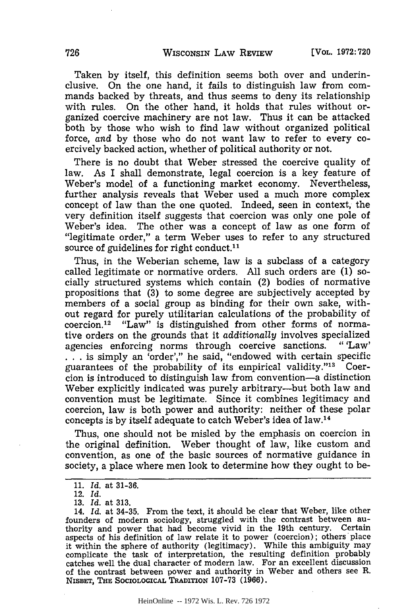Taken by itself, this definition seems both over and underinclusive. On the one hand, it fails to distinguish law from commands backed by threats, and thus seems to deny its relationship with rules. On the other hand, it holds that rules without organized coercive machinery are not law. Thus it can be attacked both by those who wish to find law without organized political force, *and* by those who do not want law to refer to every coercively backed action, whether of political authority or not.

There is no doubt that Weber stressed the coercive quality of law. As I shall demonstrate, legal coercion is a key feature of Weber's model of a functioning market economy. Nevertheless, further analysis reveals that Weber used a much more complex concept of law than the one quoted. Indeed, seen in context, the very definition itself suggests that coercion was only one pole of Weber's idea. The other was a concept of law as one form of "legitimate order," a term Weber uses to refer to any structured source of guidelines for right conduct. $11$ 

Thus, in the Weberian scheme, law is a subclass of a category called legitimate or normative orders. All such orders are (1) socially structured systems which contain (2) bodies of normative propositions that (3) to some degree are subjectively accepted by members of a social group as binding for their own sake, without regard for purely utilitarian calculations of the probability of coercion.<sup>12</sup> "Law" is distinguished from other forms of normative orders on the grounds that it *additionally* involves specialized agencies enforcing norms through coercive sanctions. "'Law' **. ..**is simply an 'order'," he said, "endowed with certain specific guarantees of the probability of its empirical validity."<sup>13</sup> Coercion is introduced to distinguish law from convention-a distinction Weber explicitly indicated was purely arbitrary—but both law and convention must be legitimate. Since it combines legitimacy and coercion, law is both power and authority: neither of these polar concepts is by itself adequate to catch Weber's idea of law.'4

Thus, one should not be misled by the emphasis on coercion in the original definition. Weber thought of law, like custom and convention, as one of the basic sources of normative guidance in society, a place where men look to determine how they ought to be-

14. *Id.* at 34-35. From the text, it should be clear that Weber, like other founders of modern sociology, struggled with the contrast between authority and power that had become vivid in the 19th century. Certain aspects of his definition of law relate it to power (coercion); others place it within the sphere of authority (legitimacy). While this ambiguity may complicate the task of interpretation, the resulting definition probably catches well the dual character of modern law. For an excellent discussion of the contrast between power and authority in Weber and others see R. **NISBET, THE SOCIOLOGICAL TRADITION 107-73 (1966).**

**ll.** *Id.* at 31-36.

<sup>12.</sup> *Id.*

<sup>13.</sup> *Id.* at 313.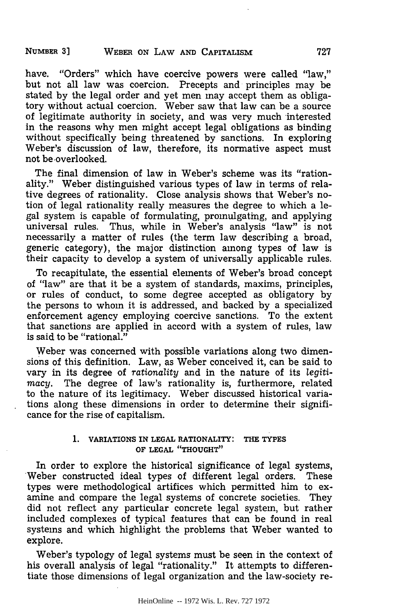have. "Orders" which have coercive powers were called "law," but not all law was coercion. Precepts and principles may be stated by the legal order and yet men may accept them as obligatory without actual coercion. Weber saw that law can be a source of legitimate authority in society, and was very much interested in the reasons why men might accept legal obligations as binding without specifically being threatened by sanctions. In exploring Weber's discussion of law, therefore, its normative aspect must not be overlooked.

The final dimension of law in Weber's scheme was its "rationality." Weber distinguished various types of law in terms of relative degrees of rationality. Close analysis shows that Weber's notion of legal rationality really measures the degree to which a legal system is capable of formulating, promulgating, and applying universal rules. Thus, while in Weber's analysis "law" is not necessarily a matter of rules (the term law describing a broad, generic category), the major distinction among types of law is their capacity to develop a system of universally applicable rules.

To recapitulate, the essential elements of Weber's broad concept of "law" are that it be a system of standards, maxims, principles, or rules of conduct, to some degree accepted as obligatory by the persons to whom it is addressed, and backed by a specialized enforcement agency employing coercive sanctions. To the extent that sanctions are applied in accord with a system of rules, law is said to be "rational."

Weber was concerned with possible variations along two dimensions of this definition. Law, as Weber conceived it, can be said to vary in its degree of *rationality* and in the nature of its *legitimacy.* The degree of law's rationality is, furthermore, related to the nature of its legitimacy. Weber discussed historical variations along these dimensions in order to determine their significance for the rise of capitalism.

## **1. VARIATIONS IN LEGAL RATIONALITY: THE TYPES OF LEGAL "THOUGHT"**

In order to explore the historical significance of legal systems, 'Weber constructed ideal types of different legal orders. These types were methodological artifices which permitted him to examine and compare the legal systems of concrete societies. They did not reflect any particular concrete legal system, but rather included complexes of typical features that can be found in real systems and which highlight the problems that Weber wanted to explore.

Weber's typology of legal systems must be seen in the context of his overall analysis of legal "rationality." It attempts to differentiate those dimensions of legal organization and the law-society re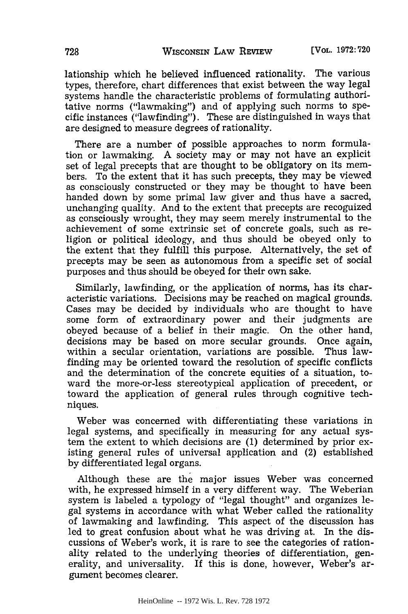lationship which he believed influenced rationality. The various types, therefore, chart differences that exist between the way legal systems handle the characteristic problems of formulating authoritative norms ("lawmaking") and of applying such norms to specific instances ("lawfinding"). These are distinguished in ways that are designed to measure degrees of rationality.

There are a number of possible approaches to norm formulation or lawmaking. A society may or may not have an explicit set of legal precepts that are thought to be obligatory on its members. To the extent that it has such precepts, they may be viewed as consciously constructed or they may be thought to have been handed down by some primal law giver and thus have a sacred, unchanging quality. And to the extent that precepts are recoguized as consciously wrought, they may seem merely instrumental to the achievement of some extrinsic set of concrete goals, such as religion or political ideology, and thus should be obeyed only to the extent that they fulfill this purpose. Alternatively, the set of precepts may be seen as autonomous from a specific set of social purposes and thus should be obeyed for their own sake.

Similarly, lawfinding, or the application of norms, has its characteristic variations. Decisions may be reached on magical grounds. Cases may be decided by individuals who are thought to have some form of extraordinary power and their judgments are obeyed because of a belief in their magic. On the other hand, decisions may be based on more secular grounds. Once again, within a secular orientation, variations are possible. Thus lawfinding may be oriented toward the resolution of specific conflicts and the determination of the concrete equities of a situation, toward the more-or-less stereotypical application of precedent, or toward the application of general rules through cognitive techniques.

Weber was concerned with differentiating these variations in legal systems, and specifically in measuring for any actual system the extent to which decisions are (1) determined by prior existing general rules of universal application and (2) established by differentiated legal organs.

Although these are the major issues Weber was concerned with, he expressed himself in a very different way. The Weberian system is labeled a typology of "legal thought" and organizes legal systems in accordance with what Weber called the rationality of lawmaking and lawfinding. This aspect of the discussion has led to great confusion about what he was driving at. In the discussions of Weber's work, it is rare to see the categories of rationality related to the underlying theories of differentiation, generality, and universality. If this is done, however, Weber's argument becomes clearer.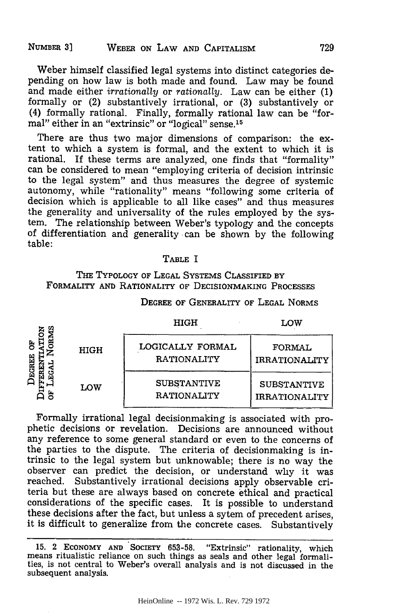Weber himself classified legal systems into distinct categories depending on how law is both made and found. Law may be found and made either *irrationally* or *rationally.* Law can be either (1) formally or (2) substantively irrational, or (3) substantively or (4) formally rational. Finally, formally rational law can be "formal" either in an "extrinsic" or "logical" sense.<sup>15</sup>

There are thus two major dimensions of comparison: the extent to which a system is formal, and the extent to which it is rational. If these terms are analyzed, one finds that "formality" can be considered to mean "employing criteria of decision intrinsic to the legal system" and thus measures the degree of systemic autonomy, while "rationality" means "following some criteria of decision which is applicable to all like cases" and thus measures the generality and universality of the rules employed by the system. The relationship between Weber's typology and the concepts of differentiation and generality can be shown by the following table:

## TABLE I

## THE TYPOLOGY OF LEGAL SYSTEMS CLASSIFIED BY FORMALITY **AND** RATIONALITY OF DECISIONMAKING **PROCESSES**

## DEGREE OF GENERALITY OF **LEGAL** NORMS

LOW

| -<br>ã<br>Ľ<br>Β | HIGH | LOGICALLY FORMAL<br>RATIONALITY   | FORMAL<br><b>IRRATIONALITY</b>             |
|------------------|------|-----------------------------------|--------------------------------------------|
|                  | LOW  | <b>SUBSTANTIVE</b><br>RATIONALITY | <b>SUBSTANTIVE</b><br><b>IRRATIONALITY</b> |

מז של

Formally irrational legal decisionmaking is associated with prophetic decisions or revelation. Decisions are announced without any reference to some general standard or even to the concerns of the parties to the dispute. The criteria of decisionmaking is intrinsic to the legal system but unknowable; there is no way the observer can predict the decision, or understand why it was reached. Substantively irrational decisions apply observable criteria but these are always based on concrete ethical and practical considerations of the specific cases. It is possible to understand these decisions after the fact, but unless a sytem of precedent arises, it is difficult to generalize from the concrete cases. Substantively

**<sup>15.</sup>** 2 **ECONOMY AND** SOCIETY 653-58. "Extrinsic" rationality, which means ritualistic reliance on such things as seals and other legal formalities, is not central to Weber's overall analysis and is not discussed in the subsequent analysis.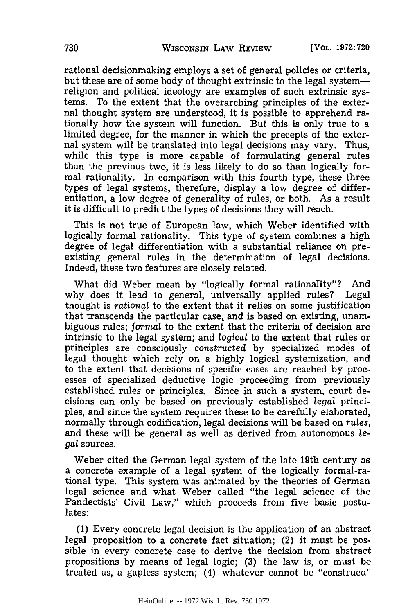rational decisionmaking employs a set of general policies or criteria, but these are of some body of thought extrinsic to the legal system religion and political ideology are examples of such extrinsic systems. To the extent that the overarching principles of the external thought system are understood, it is possible to apprehend rationally how the system will function. But this is only true to a limited degree, for the manner in which the precepts of the external system will be translated into legal decisions may vary. Thus, while this type is more capable of formulating general rules than the previous two, it is less likely to do so than logically formal rationality. In comparison with this fourth type, these three types of legal systems, therefore, display a low degree of differentiation, a low degree of generality of rules, or both. As a result it is difficult to predict the types of decisions they will reach.

This is not true of European law, which Weber identified with logically formal rationality. This type of system combines a high degree of legal differentiation with a substantial reliance on preexisting general rules in the determination of legal decisions. Indeed, these two features are closely related.

What did Weber mean by "logically formal rationality"? And why does it lead to general, universally applied rules? Legal thought is *rational* to the extent that it relies on some justification that transcends the particular case, and is based on existing, unambiguous rules; formal to the extent that the criteria of decision are intrinsic to the legal system; and logical to the extent that rules or principles are consciously *constructed* **by** specialized modes of legal thought which rely on a **highly** logical systemization, and to the extent that decisions of specific cases are reached **by** processes of specialized deductive logic proceeding from previously established rules or principles. Since in such a system, court decisions can only be based on previously established *legal* principles, and since the system requires these to be carefully elaborated, normally through codification, legal decisions will be based on rules, and these will be general as well as derived from autonomous le*gal* sources.

Weber cited the German legal system of the late 19th century as a concrete example of a legal system of the logically formal-rational type. This system was animated by the theories of German legal science and what Weber called "the legal science of the Pandectists' Civil Law," which proceeds from five basic postulates:

(1) Every concrete legal decision is the application of an abstract legal proposition to a concrete fact situation; (2) it must be possible in every concrete case to derive the decision from abstract propositions by means of legal logic; (3) the law is, or must be treated as, a gapless system; (4) whatever cannot be "construed"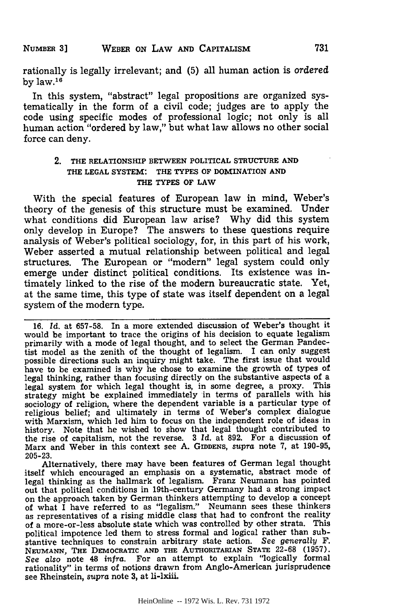rationally is legally irrelevant; and (5) all human action is *ordered* by  $law.<sup>16</sup>$ 

In this system, "abstract" legal propositions are organized systematically in the form of a civil code; judges are to apply the code using specific modes of professional logic; not only is all human action "ordered by law," but what law allows no other social force can deny.

## 2. **THE** RELATIONSHIP **BETWEEN** POLITICAL **STRUCTURE AND** THE **LEGAL** SYSTEM: THE TYPES OF DOMINATION **AND** THE TYPES OF LAW

With the special features of European law in mind, Weber's theory of the genesis of this structure must be examined. Under what conditions did European law arise? **Why** did this system only develop in Europe? The answers to these questions require analysis of Weber's political sociology, for, in this part of his work, Weber asserted a mutual relationship between political and legal structures. The European or "modern" legal system could only emerge under distinct political conditions. Its existence was intimately linked to the rise of the modern bureaucratic state. Yet, at the same time, this type of state was itself dependent on a legal system of the modern type.

16. *Id.* at 657-58. In a more extended discussion of Weber's thought it would be important to trace the origins of his decision to equate legalism primarily with a mode of legal thought, and to select the German Pandectist model as the zenith of the thought of legalism. I can only suggest possible directions such an inquiry might take. The first issue that would have to be examined is why he chose to examine the growth of types of legal thinking, rather than focusing directly on the substantive aspects of a legal system for which legal thought is, in some degree, a proxy. This strategy might be explained immediately in terms of parallels with his sociology of religion, where the dependent variable is a particular type of religious belief; and ultimately in terms of Weber's complex dialogue with Marxism, which led him to focus on the independent role of ideas in history. Note that he wished to show that legal thought contributed to the rise of capitalism, not the reverse. **3** *Id.* at 892. For a discussion of Marx and Weber in this context see **A.** GIDDENS, *supra* note **7,** at 190-95, 205-23.

Alternatively, there may have been features of German legal thought itself which encouraged an emphasis on a systematic, abstract mode of legal thinking as the hallmark of legalism. Franz Neumann has pointed out that political conditions in 19th-century Germany had a strong impact on the approach taken by German thinkers attempting to develop a concept of what I have referred to as "legalism." Neumann sees these thinkers as representatives of a rising middle class that had to confront the reality of a more-or-less absolute state which was controlled by other strata. This political impotence led them to stress formal and logical rather than substantive techniques to constrain arbitrary state action. *See generally* F. **NEUMANN, THE DEMOCRATIC AND THE AUTHORITARIAN STATE** 22-68 **(1957).** *See also* note 48 *infra.* For an attempt to explain "logically formal rationality" in terms of notions drawn from Anglo-American jurisprudence see Rheinstein, *supra* note **3,** at li-lxiii.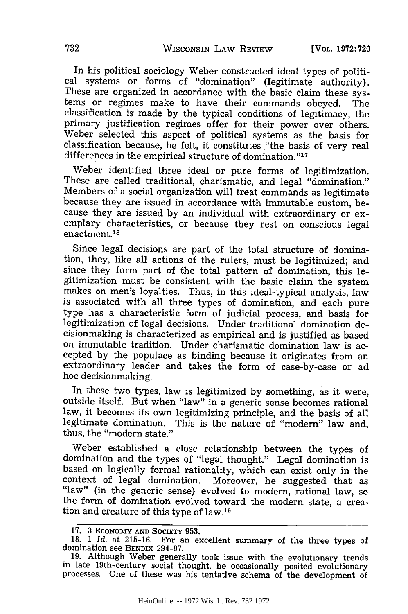In his political sociology Weber constructed ideal types of political systems or forms of "domination" (Iegitimate authority). These are organized in accordance with the basic claim these systems or regimes make to have their commands obeyed. The classification is made by the typical conditions of legitimacy, the primary justification regimes offer for their power over others. Weber selected this aspect of political systems as the basis for classification because, he felt, it constitutes "the basis of very real differences in the empirical structure of domination."<sup>17</sup>

Weber identified three ideal or pure forms of legitimization. These are called traditional, charismatic, and legal "domination." Members of a social organization will treat commands as legitimate because they are issued in accordance with immutable custom, because they are issued by an individual with extraordinary or exemplary characteristics, or because they rest on conscious legal enactment.<sup>18</sup>

Since legal decisions are part of the total structure of domination, they, like all actions of the rulers, must be legitimized; and since they form part of the total pattern of domination, this legitimization must be consistent with the basic claim the system makes on men's loyalties. Thus, in this ideal-typical analysis, law is associated with all three types of domination, and each pure type has a characteristic form of judicial process, and basis for legitimization of legal decisions. Under traditional domination decisionmaking is characterized as empirical and is justified as based on immutable tradition. Under charismatic domination law is accepted by the populace as binding because it originates from an extraordinary leader and takes the form of case-by-case or ad hoc decisionmaking.

In these two types, law is legitimized by something, as it were, outside itself. But when "law" in a generic sense becomes rational law, it becomes its own legitimizing principle, and the basis of all legitimate domination. This is the nature of "modern" law and, thus, the "modern state."

Weber established a close relationship between the types of domination and the types of "legal thought." Legal domination is based on logically formal rationality, which can exist only in the context of legal domination. Moreover, he suggested that as "law" (in the generic sense) evolved to modern, rational law, so the form of domination evolved toward the modem state, a creation and creature of this type of law.19

**<sup>17.</sup>** 3 **ECONOMY AND** SOCIETY 953. **18. 1** *Id.* at **215-16.** For an excellent summary of the three types of domination see BENDIX **294-97.**

**<sup>19.</sup>** Although Weber generally took issue with the evolutionary trends in late 19th-century social thought, he occasionally posited evolutionary processes. One of these was his tentative schema of the development of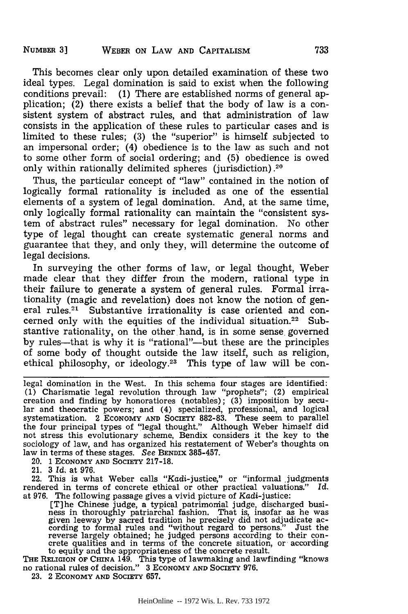This becomes clear only upon detailed examination of these two ideal types. Legal domination is said to exist when the following conditions prevail: (1) There are established norms of general application; (2) there exists a belief that the body of law is a consistent system of abstract rules, and that administration of law consists in the application of these rules to particular cases and is limited to these rules; (3) the "superior" is himself subjected to an impersonal order; (4) obedience is to the law as such and not to some other form of social ordering; and **(5i** obedience is owed only within rationally delimited spheres (jurisdiction) .20

Thus, the particular concept of "law" contained in the notion of logically formal rationality is included as one of the essential elements of a system of legal domination. And, at the same time, only logically formal rationality can maintain the "consistent system of abstract rules" necessary for legal domination. No other type of legal thought can create systematic general norms and guarantee that they, and only they, will determine the outcome of legal decisions.

In surveying the other forms of law, or legal thought, Weber made clear that they differ from the modern, rational type in their failure to generate a system of general rules. Formal irrationality (magic and revelation) does not know the notion of general rules.<sup>21</sup> Substantive irrationality is case oriented and concerned only with the equities of the individual situation.<sup>22</sup> Substantive rationality, on the other, hand, is in some sense governed by rules-that is why it is "rational"--but these are the principles of some body of thought outside the law itself, such as religion, ethical philosophy, or ideology.<sup>23</sup> This type of law will be con-

legal domination in the West. In this schema four stages are identified: (1) Charismatic legal revolution through law "prophets"; (2) empirical creation and finding by honoratiores (notables); (3) imposition by secular and theocratic powers; and (4) specialized, professional, and logical systematization. 2 ECONOMY AND SOCIETY 882-83. These seem to parallel the four principal types of "legal thought." Although Weber himself did not stress this evolutionary scheme, Bendix considers it the key to the sociology of law, and has organized his restatement of Weber's thoughts on law in terms of these stages. *See* BENDIX 385-457.

20. 1 ECONOMY **AND** SOCIETY 217-18.

21. 3 *Id* at 976.

22. This is what Weber calls "Kadi-justice," or "informal judgments rendered in terms of concrete ethical or other practical valuations." *Id.* at 976. The following passage gives a vivid picture of Kadi-justice:

[T]he Chinese judge, a typical patrimonial judge, discharged busirestance when the partial fashion. That is, insofar as he was<br>given leeway by sacred tradition he precisely did not adjudicate ac-<br>cording to formal rules and "without regard to persons." Just the<br>reverse largely obtained; to equity and the appropriateness of the concrete result.

**THE RELIGION OF CHINA** 149. This type of lawmaking and lawfinding "knows no rational rules of decision." 3 **ECONOMY AND** SOCIETY 976.

23. 2 **ECONOMY AND SOCIETY** 657.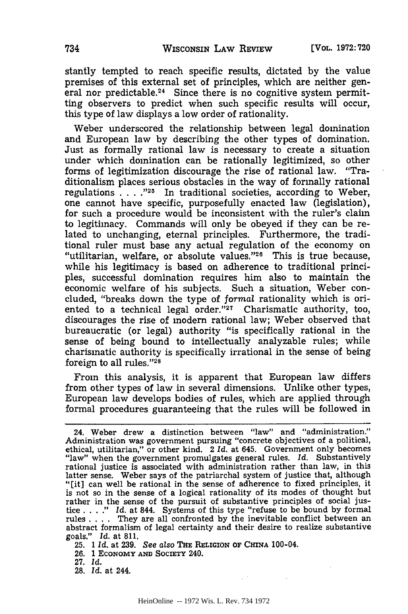stantly tempted to reach specific results, dictated **by** the value premises of this external set of principles, which are neither general nor predictable.<sup>24</sup> Since there is no cognitive system permitting observers to predict when such specific results will occur, this type of law displays a low order of rationality.

Weber underscored the relationship between legal domination and European law **by** describing the other types of domination. Just as formally rational law is necessary to create a situation under which domination can be rationally legitimized, so other forms of legitimization discourage the rise of rational law. "Traditionalism places serious obstacles in the way of formally rational regulations . . . .<sup>"25</sup> In traditional societies, according to Weber, one cannot have specific, purposefully enacted law (legislation), for such a procedure would be inconsistent with the ruler's claim to legitimacy. Commands will only be obeyed if they can be related to unchanging, eternal principles. Furthermore, the traditional ruler must base any actual regulation of the economy on "utilitarian, welfare, or absolute values." $26$  This is true because, while his legitimacy is based on adherence to traditional principles, successful domination requires him also to maintain the economic welfare of his subjects. Such a situation, Weber concluded, "breaks down the type of *formal* rationality which is oriented to a technical legal order."<sup>27</sup> Charismatic authority, too, discourages the rise of modern rational law; Weber observed that bureaucratic (or legal) authority "is specifically rational in the sense of being bound to intellectually analyzable rules; while charismatic authority is specifically irrational in the sense of being foreign to all rules."<sup>28</sup>

From this analysis, it is apparent that European law differs from other types of law in several dimensions. Unlike other types, European law develops bodies of rules, which are applied through formal procedures guaranteeing that the rules will be followed in

25. 1 *Id.* at 239. *See also* **THE RELIGION OF CHINA** 100-04.

26. 1 **ECONOMY AND SOCIETY** 240.

27. *Id.*

**<sup>24.</sup>** Weber drew a distinction between "law" and "administration." Administration was government pursuing "concrete objectives of a political, ethical, utilitarian," or other kind. 2 *Id.* at 645. Government only becomes "law" when the government promulgates general rules. *Id.* Substantively rational justice is associated with administration rather than law, in this latter sense. Weber says of the patriarchal system of justice that, although "[it] can well be rational in the sense of adherence to fixed principles, it is not so in the sense of a logical rationality of its modes of thought but rather in the sense of the pursuit of substantive principles of social jus- tice .... **."** Id. at 844. Systems of this type "refuse to be bound **by** formal rules .... They are all confronted **by** the inevitable conflict between an abstract formalism of legal certainty and their desire to realize substantive goals." *Id.* at 811.

<sup>28.</sup> *Id.* **at** 244.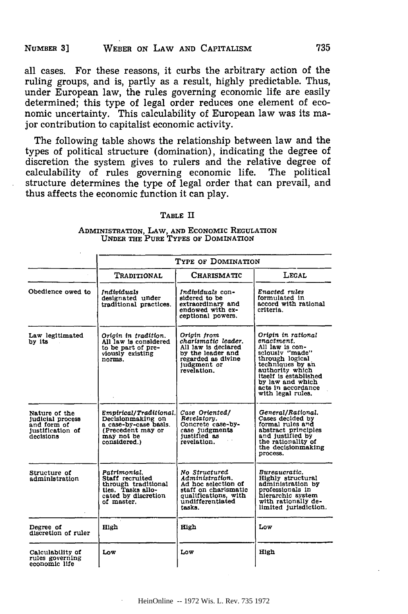#### WEBER ON LAW **AND** CAPITALISM **NUMBER 3]**

all cases. For these reasons, it curbs the arbitrary action of the ruling groups, and is, partly as a result, highly predictable. Thus, under European law, the rules governing economic life are easily determined; this type of legal order reduces one element of economic uncertainty. This calculability of European law was its major contribution to capitalist economic activity.

The following table shows the relationship between law and the types of political structure (domination), indicating the degree of discretion the system gives to rulers and the relative degree of calculability of rules governing economic life. The political structure determines the type of legal order that can prevail, and thus affects the economic function it can play.

#### TABLE II

#### ADMINISTRATION, LAW, **AND** ECONOMIC **REGULATION UNDER** THE PURE TYPES OF DOMINATION

|                                                                                   | TYPE OF DOMINATION                                                                                                      |                                                                                                                                       |                                                                                                                                                                                                                          |  |
|-----------------------------------------------------------------------------------|-------------------------------------------------------------------------------------------------------------------------|---------------------------------------------------------------------------------------------------------------------------------------|--------------------------------------------------------------------------------------------------------------------------------------------------------------------------------------------------------------------------|--|
|                                                                                   | TRADITIONAL                                                                                                             | <b>CHARISMATIC</b>                                                                                                                    | <b>LEGAL</b>                                                                                                                                                                                                             |  |
| Obedience owed to                                                                 | Individuals<br>designated under<br>traditional practices.                                                               | Individuals con-<br>sidered to be<br>extraordinary and<br>endowed with ex-<br>ceptional powers.                                       | Enacted rules<br>formulated in<br>accord with rational<br>criteria.                                                                                                                                                      |  |
| Law legitimated<br>bv its                                                         | Origin in tradition.<br>All law is considered<br>to be part of pre-<br>viously existing<br>norms.                       | Origin from<br>charismatic leader.<br>All law is declared<br>by the leader and<br>regarded as divine<br>judgment or<br>revelation.    | Origin in rational<br>enactment.<br>All law is con-<br>sciously "made"<br>through logical<br>techniques by an<br>authority which<br>itself is established<br>by law and which<br>acts in accordance<br>with legal rules. |  |
| Nature of the<br>judicial process<br>and form of<br>justification of<br>decisions | Empirical/Traditional.<br>Decisionmaking on<br>a case-by-case basis.<br>(Precedent may or<br>may not be<br>considered.) | Case Oriented/<br>Revelatory.<br>Concrete case-by-<br>case judgments<br>justified as<br>revelation.                                   | General/Rational.<br>Cases decided by<br>formal rules and<br>abstract principles<br>and justified by<br>the rationality of<br>the decisionmaking<br>process.                                                             |  |
| Structure of<br>administration                                                    | Patrimonial.<br>Staff recruited<br>through traditional<br>ties. Tasks allo-<br>cated by discretion<br>of master.        | No Structured<br>Administration.<br>Ad hoc selection of<br>staff on charismatic<br>qualifications, with<br>undifferentiated<br>tasks. | Bureaucratic.<br>Highly structural<br>administration by<br>professionals in<br>hierarchic system<br>with rationally de-<br>limited jurisdiction.                                                                         |  |
| Degree of<br>discretion of ruler                                                  | High                                                                                                                    | High                                                                                                                                  | Low                                                                                                                                                                                                                      |  |
| Calculability of<br>rules governing<br>economic life                              | Low                                                                                                                     | Low                                                                                                                                   | High                                                                                                                                                                                                                     |  |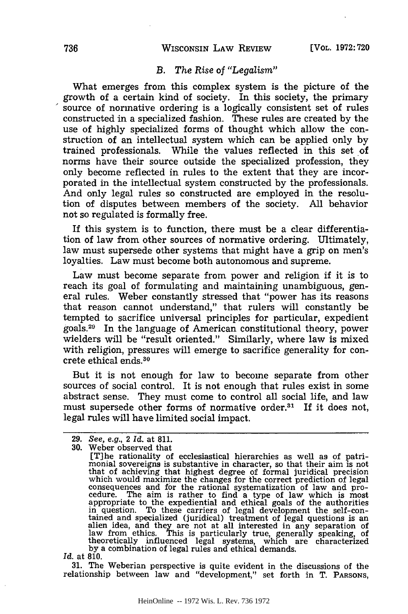## WISCONSIN LAW REVIEW

### *B. The Rise of "Legalism"*

What emerges from this complex system is the picture of the growth of a certain kind of society. In this society, the primary source of normative ordering is a logically consistent set of rules constructed in a specialized fashion. These rules are created by the use of highly specialized forms of thought which allow the construction of an intellectual system which can be applied only by trained professionals. While the values reflected in this set of norms have their source outside the specialized profession, they only become reflected in rules to the extent that they are incorporated in the intellectual system constructed by the professionals. And only legal rules so constructed are employed in the resolution of disputes between members of the society. All behavior not so regulated is formally free.

If this system is to function, there must be a clear differentiation of law from other sources of normative ordering. Ultimately, law must supersede other systems that might have a grip on men's loyalties. Law must become both autonomous and supreme.

Law must become separate from power and religion if it is to reach its goal of formulating and maintaining unambiguous, general rules. Weber constantly stressed that "power has its reasons that reason cannot understand," that rulers will constantly be tempted to sacrifice universal principles for particular, expedient goals.29 In the language of American constitutional theory, power wielders will be "result oriented." Similarly, where law is mixed with religion, pressures will emerge to sacrifice generality for concrete ethical ends.<sup>30</sup>

But it is not enough for law to become separate from other sources of social control. It is not enough that rules exist in some abstract sense. They must come to control all social life, and law must supersede other forms of normative order. $31$  If it does not, legal rules will have limited social impact.

*Id.* at 810.

31. The Weberian perspective is quite evident in the discussions of the relationship between law and "development," set forth in T. **PARSONS,**

<sup>29.</sup> *See,* e.g., 2 *Id.* at 811.

<sup>30.</sup> Weber observed that

<sup>[</sup>T]he rationality of ecclesiastical hierarchies as well as of patri- monial sovereigns is substantive in character, so that their aim is not that of achieving that highest degree of formal juridical precision which would maximize the changes for the correct prediction of legal consequences and for the rational systematization of law and pro- cedure. The aim is rather to find a type of law which is most appropriate to the expediential and ethical goals of the authorities in question. To these carriers of legal development the self-con-tained and specialized (juridical) treatment of legal questions is an alien idea, and they are not at all interested in any separation of law from ethics. This is particularly true, generally speaking, of theoretically influenced legal systems, which are characterized by a combination of legal rules and ethical demands.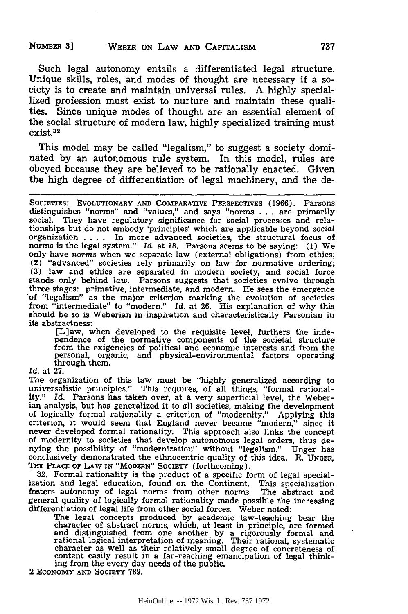Such legal autonomy entails a differentiated legal structure. Unique skills, roles, and modes of thought are necessary if a society is to create and maintain universal rules. A **highly** speciallized profession must exist to nurture and maintain these qualities. Since unique modes of thought are an essential element of the social structure of modern law, **highly** specialized training must exist.32

This model may be called "legalism," to suggest a society dominated **by** an autonomous rule system. In this model, rules are obeyed because they are believed to be rationally enacted. Given the high degree of differentiation of legal machinery, and the de-

SOCIETIES: EVOLUTIONARY **AND** COMPARATIVE PERSPECTIVES **(1966).** Parsons distinguishes "norms" and "values," and says "norms **...** are primarily social. They have regulatory significance for social processes and relationships but do not embody 'principles' which are applicable beyond social organization . . . . In more advanced societies, the structural focus of organization .... In more advanced societies, the structural focus of norms is the legal system." *Id.* at **18.** Parsons seems to be saying: **(1)** We only have *norms* when we separate law (external obligations) from ethics; (2) "advanced" societies rely primarily on law for normative ordering; **(3)** law and ethics are separated in modern society, and social force stands only behind *law.* Parsons suggests that societies evolve through three stages: primative, intermediate, and modern. He sees the emergence of "legalism" as the major criterion marking the evolution of societies from "intermediate" to "modern." **Id.** at **26.** His explanation of why this should be so is Weberian in inspiration and characteristically Parsonian in its abstractness:

[LIaw, when developed to the requisite level, furthers the independence of the normative components of the societal structure from the exigencies of political and economic interests and from the personal, organic, and physical-environmental factors operating through them. **Id.** at **27.**

The organization of this law must be **"highly** generalized according to universalistic principles." This requires, of all things, "formal rationality." *Id.* Parsons has taken over, at a very superficial level, the Weberian analysis, but has generalized it to *all* societies, making the development of logically formal rationality a criterion of "modernity." Applying this criterion, it would seem that England never became "modern," since it never developed formal rationality. This approach also links the concept of modernity to societies that develop autonomous legal orders, thus denying the possibility of "modernization" without "legalism." Unger has conclusively demonstrated the ethnocentric quality of this idea. R. **UNGER,** THE **PLACE OF LAW IN** "MODERN" **SOCIETY** (forthcoming).

**32.** Formal rationality is the product of a specific form of legal special- ization and legal education, found on the Continent. This specialization fosters autonomy of legal norms from other norms. The abstract and general quality of logically formal rationality made possible the increasing differentiation of legal life from other social forces. Weber noted:

The legal concepts produced **by** academic law-teaching bear the character of abstract norms, which, at least in principle, are formed and distinguished from one another **by** a rigorously formal and rational logical interpretation of meaning. Their rational, systematic character as well as their relatively small degree of concreteness of content easily result in a far-reaching emancipation of legal thinking from the every day needs of the public. <sup>2</sup>**ECONOMY AND SOCIETY 789.**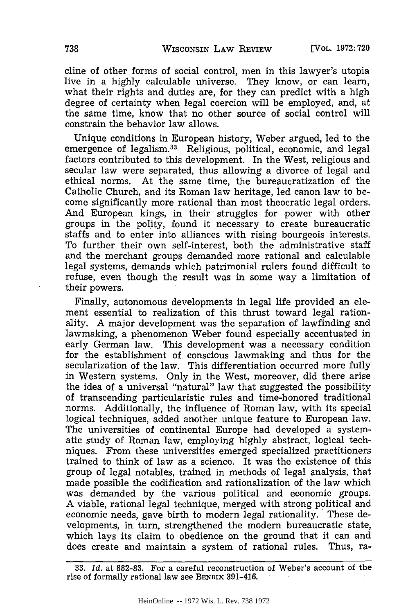Cline of other forms of social control, men in this lawyer's utopia live in a highly calculable universe. They know, or can learn, what their rights and duties are, for they can predict with a high degree of certainty when legal coercion will be employed, and, at the same time, know that no other source of social control will constrain the behavior law allows.

Unique conditions in European history, Weber argued, led to the emergence of legalism.<sup>33</sup> Religious, political, economic, and legal factors contributed to this development. In the West, religious and secular law were separated, thus allowing a divorce of legal and ethical norms. At the same time, the bureaucratization of the Catholic Church, and its Roman law heritage, led canon law to become significantly more rational than most theocratic legal orders. And European kings, in their struggles for power with other groups in the polity, found it necessary to create bureaucratic staffs and to enter into alliances with rising bourgeois interests. To further their own self-interest, both the administrative staff and the merchant groups demanded more rational and calculable legal systems, demands which patrimonial rulers found difficult to refuse, even though the result was in some way a limitation of their powers.

Finally, autonomous developments in legal life provided an element essential to realization of this thrust toward legal rationality. A major development was the separation of lawfinding and lawmaking, a phenomenon Weber found especially accentuated in early German law. This development was a necessary condition for the establishment of conscious lawmaking and thus for the secularization of the law. This differentiation occurred more fully in Western systems. Only in the West, moreover, did there arise the idea of a universal "natural" law that suggested the possibility of transcending particularistic rules and time-honored traditional norms. Additionally, the influence of Roman law, with its special logical techniques, added another unique feature to European law. The universities of continental Europe had developed a systematic study of Roman law, employing highly abstract, logical techniques. From these universities emerged specialized practitioners trained to think of law as a science. It was the existence of this group of legal notables, trained in methods of legal analysis, that made possible the codification and rationalization of the law which was demanded by the various political and economic groups. A viable, rational legal technique, merged with strong political and economic needs, gave birth to modern legal rationality. These developments, in turn, strengthened the modern bureaucratic state, which lays its claim to obedience on the ground that it can and does create and maintain a system of rational rules. Thus, ra-

<sup>33.</sup> *Id.* at 882-83. For a careful reconstruction of Weber's account of the rise of formally rational law see BENDIX 391-416.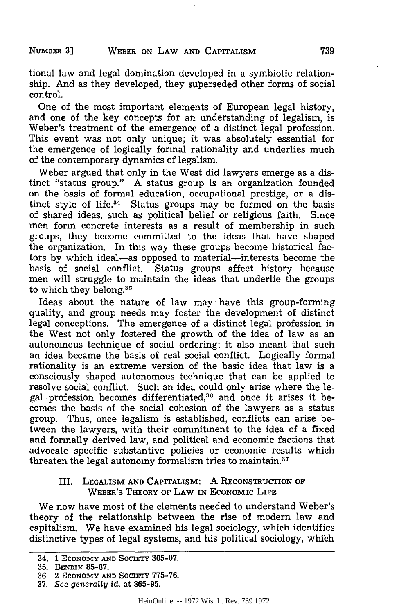**NUMER 31**

tional law and legal domination developed in a symbiotic relationship. And as they developed, they superseded other forms of social control.

One of the most important elements of European legal history, and one of the key concepts for an understanding of legalism, is Weber's treatment of the emergence of a distinct legal profession. This event was not only unique; it was absolutely essential for the emergence of logically formal rationality and underlies much of the contemporary dynamics of legalism.

Weber argued that only in the West did lawyers emerge as a distinct "status group." A status group is an organization founded on the basis of formal education, occupational prestige, or a distinct style of life.<sup>34</sup> Status groups may be formed on the basis of shared ideas, such as political belief or religious faith. Since men form concrete interests as a result of membership in such groups, they become committed to the ideas that have shaped the organization. In this way these groups become historical factors by which ideal—as opposed to material—interests become the basis of social conflict. Status groups affect history because men will struggle to maintain the ideas that underlie the groups to which they belong. $35$ 

Ideas about the nature of law may have this group-forming quality, and group needs may foster the development of distinct legal conceptions. The emergence of a distinct legal profession in the West not only fostered the growth of the idea of law as an autonomous technique of social ordering; it also meant that such an idea became the basis of real social conflict. Logically formal rationality is an extreme version of the basic idea that law is a consciously shaped autonomous technique that can be applied to resolve social conflict. Such an idea could only arise where the legal profession becomes differentiated,  $36$  and once it arises it becomes the basis of the social cohesion of the lawyers as a status group. Thus, once legalism is established, conflicts can arise between the lawyers, with their commitment to the idea of a fixed and formally derived law, and political and economic factions that advocate specific substantive policies or economic results which threaten the legal autonomy formalism tries to maintain.<sup>37</sup>

## III. **LEGALISM AND CAPITALISM: A RECONSTRUCTION OF** WEBER'S THEORY OF LAW **IN** ECONOMIC LIFE

We now have most of the elements needed to understand Weber's theory of the relationship between the rise of modern law and capitalism. We have examined his legal sociology, which identifies distinctive types of legal systems, and his political sociology, which

**<sup>34. 1</sup> ECONOMY AND** SOCIETY **305-07.**

**<sup>35.</sup> BENDIX** 85-87.

**<sup>36.</sup>** 2 **ECONOMY AND SOCIETY** 775-76.

**<sup>37.</sup>** *See generally id.* at **865-95.**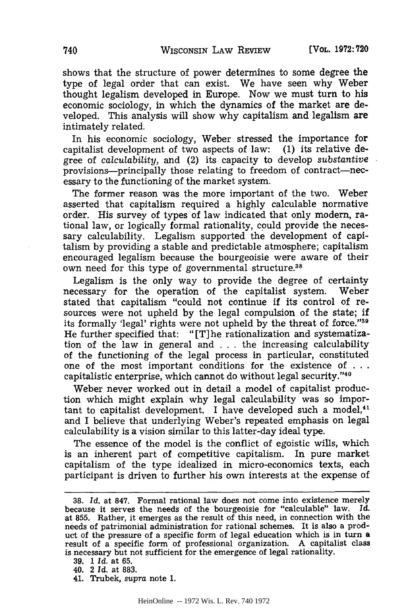shows that the structure of power determines to some degree the type of legal order that can exist. We have seen why Weber thought legalism developed in Europe. Now we must turn to his economic sociology, in which the dynamics of the market are developed. This analysis will show why capitalism and legalism are intimately related.

In his economic sociology, Weber stressed the importance for capitalist development of two aspects of law: (1) its relative degree of *calculability,* and (2) its capacity to develop *substantive* provisions-principally those relating to freedom of contract-necessary to the functioning of the market system.

The former reason was the more important of the two. Weber asserted that capitalism required a highly calculable normative order. His survey of types of law indicated that only modern, rational law, or logically formal rationality, could provide the necessary calculability. Legalism supported the development of capitalism by providing a stable and predictable atmosphere; capitalism encouraged legalism because the bourgeoisie were aware of their own need for this type of governmental structure.<sup>38</sup>

Legalism is the only way to provide the degree of certainty necessary for the operation of the capitalist system. Weber stated that capitalism "could not continue if its control of resources were not upheld by the legal compulsion of the state; if its formally 'legal' rights were not upheld by the threat of force."<sup>39</sup> He further specified that: "[T] he rationalization and systematization of the law in general and . **.** . the increasing calculability of the functioning of the legal process in particular, constituted one of the most important conditions for the existence of **...** capitalistic enterprise, which cannot do without legal security. '40

Weber never worked out in detail a model of capitalist production which might explain why legal calculability was so important to capitalist development. I have developed such a model, $41$ and I believe that underlying Weber's repeated emphasis on legal calculability is a vision similar to this latter-day ideal type.

The essence of the model is the conflict of egoistic wills, which is an inherent part of competitive capitalism. In pure market capitalism of the type idealized in micro-economics texts, each participant is driven to further his own interests at the expense of

41. Trubek, *supra* note 1.

<sup>38.</sup> *Id.* at 847. Formal rational law does not come into existence merely because it serves the needs of the bourgeoisie for "calculable" law. *Id.* at 855. Rather, it emerges as the result of this need, in connection with the needs of patrimonial administration for rational schemes. It is also a product of the pressure of a specific form of legal education which is in turn a result of a specific form of professional organization. A capitalist class is necessary but not sufficient for the emergence of legal rationality.

**<sup>39. 1</sup>** *Id.* at **65.**

<sup>40. 2</sup> **Id.** at **883.**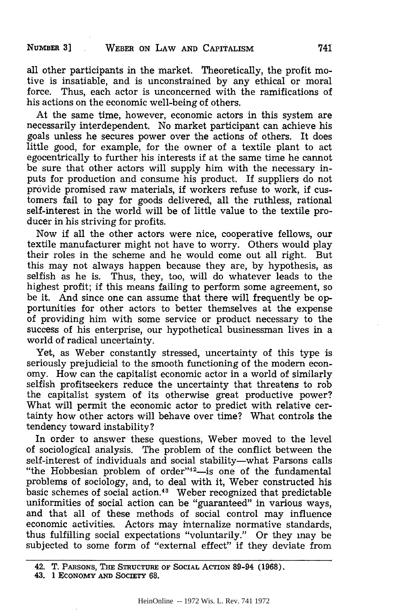all other participants in the market. Theoretically, the profit motive is insatiable, and is unconstrained by any ethical or moral force. Thus, each actor is unconcerned with the ramifications of his actions on the economic well-being of others.

At the same time, however, economic actors in this system are necessarily interdependent. No market participant can achieve his goals unless he secures power over the actions of others. It does little good, for example, for the owner of a textile plant to act egocentrically to further his interests if at the same time he cannot be sure that other actors will supply him with the necessary inputs for production and consume his product. If suppliers do not provide promised raw materials, if workers refuse to work, if customers fail to pay for goods delivered, all the ruthless, rational self-interest in the world will be of little value to the textile producer in his striving for profits.

Now if all the other actors were nice, cooperative fellows, our textile manufacturer might not have to worry. Others would play their roles in the scheme and he would come out all right. But this may not always happen because they are, by hypothesis, as selfish as he is. Thus, they, too, will do whatever leads to the highest profit; if this means failing to perform some agreement, so be it. And since one can assume that there will frequently be opportunities for other actors to better themselves at the expense of providing him with some service or product necessary to the success of his enterprise, our hypothetical businessman lives in a world of radical uncertainty.

Yet, as Weber constantly stressed, uncertainty of this type is seriously prejudicial to the smooth functioning of the modem economy. How can the capitalist economic actor in a world of similarly selfish profitseekers reduce the uncertainty that threatens to rob the capitalist system of its otherwise great productive power? What will permit the economic actor to predict with relative certainty how other actors will behave over time? What controls the tendency toward instability?

In order to answer these questions, Weber moved to the level of sociological analysis. The problem of the conflict between the self-interest of individuals and social stability-what Parsons calls "the Hobbesian problem of order" $42$ -is one of the fundamental problems of sociology, and, to deal with it, Weber constructed his basic schemes of social action.<sup>43</sup> Weber recognized that predictable uniformities of social action can be "guaranteed" in various ways, and that all of these methods of social control may influence economic activities. Actors may internalize normative standards, thus fulfilling social expectations "voluntarily." Or they may be subjected to some form of "external effect" if they deviate from

**<sup>42.</sup>** T. PARSONs, **THE STRUCTURE OF SOCIAL ACTION** 89-94 **(1968).**

**<sup>43. 1</sup> ECONOMY AND** SocIErY **68.**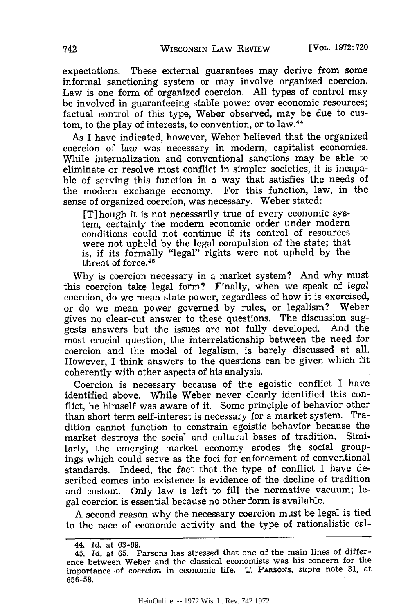expectations. These external guarantees may derive from some informal sanctioning system or may involve organized coercion. Law is one form of organized coercion. All types of control may be involved in guaranteeing stable power over economic resources; factual control of this type, Weber observed, may be due to custom, to the play of interests, to convention, or to law.44

As I have indicated, however, Weber believed that the organized coercion of *law* was necessary in modern, capitalist economies. While internalization and conventional sanctions may be able to eliminate or resolve most conflict in simpler societies, it is incapable of serving this function in a way that satisfies the needs of the modern exchange economy. For this function, law, in the sense of organized coercion, was necessary. Weber stated:

[T] hough it is not necessarily true of every economic system, certainly the modern economic order under modern conditions could not continue if its control of resources were not upheld by the legal compulsion of the state; that is, if its formally "legal" rights were not upheld by the threat of force.<sup>45</sup>

Why is coercion necessary in a market system? And why must this coercion take legal form? Finally, when we speak of *legal* coercion, do we mean state power, regardless of how it is exercised, or do we mean power governed by rules, or legalism? Weber gives no clear-cut answer to these questions. The discussion suggests answers but the issues are not fully developed. And the most crucial question, the interrelationship between the need for coercion and the model of legalism, is barely discussed at all. However, I think answers to the questions can be given which fit coherently with other aspects of his analysis.

Coercion is necessary because of the egoistic conflict I have identified above. While Weber never clearly identified this conflict, he himself was aware of it. Some principle of behavior other than short term self-interest is necessary for a market system. Tradition cannot function to constrain egoistic behavior because the market destroys the social and cultural bases of tradition. Similarly, the emerging market economy erodes the social groupings which could serve as the foci for enforcement of conventional standards. Indeed, the fact that the type of conflict I have described comes into existence is evidence of the decline of tradition and custom. Only law is left to fill the normative vacuum; legal coercion is essential because no other form is available.

A second reason why the necessary coercion must be legal is tied to the pace of economic activity and the type of rationalistic cal-

<sup>44.</sup> *Id.* at 63-69.

<sup>45.</sup> *Id.* at 65. Parsons has stressed that one of the main lines of difference between Weber and the classical economists was his concern for the importance -of coercion in economic life. T. **PARSONS,** *supra* note 31, at 656-58.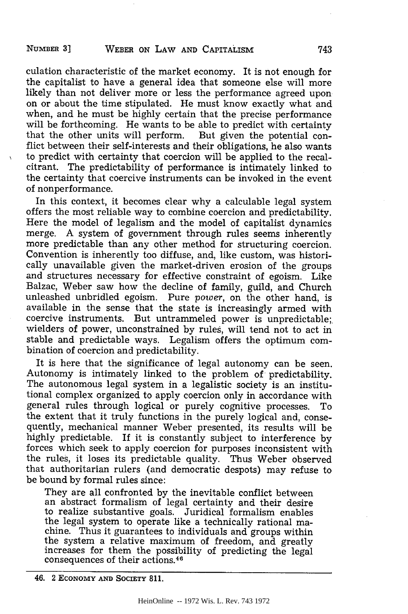culation characteristic of the market economy. It is not enough for the capitalist to have a general idea that someone else will more likely than not deliver more or less the performance agreed upon on or about the time stipulated. He must know exactly what and when, and he must be highly certain that the precise performance will be forthcoming. He wants to be able to predict with certainty that the other units will perform. But given the potential conflict between their self-interests and their obligations, he also wants to predict with certainty that coercion will be applied to the recalcitrant. The predictability of performance is intimately linked to the certainty that coercive instruments can be invoked in the event of nonperformance.

In this context, it becomes clear why a calculable legal system offers the most reliable way to combine coercion and predictability. Here the model of legalism and the model of capitalist dynamics merge. A system of government through rules seems inherently more predictable than any other method for structuring coercion. Convention is inherently too diffuse, and, like custom, was historically unavailable given the market-driven erosion of the groups and structures necessary for effective constraint of egoism. Like Balzac, Weber saw how the decline of family, guild, and Church unleashed unbridled egoism. Pure *power,* on the other hand, is available in the sense that the state is increasingly armed with coercive instruments. But untrammeled power is unpredictable;, wielders of power, unconstrained by rules, will tend not to act in stable and predictable ways. Legalism offers the optimum combination of coercion and predictability.

It is here that the significance of legal autonomy can be seen. Autonomy is intimately linked to the problem of predictability. The autonomous legal system in a legalistic society is an institutional complex organized to apply coercion only in accordance with general rules through logical or purely cognitive processes. To the extent that it truly functions in the purely logical and, consequently, mechanical manner Weber presented, its results will be highly predictable. If it is constantly subject to interference by forces which seek to apply coercion for purposes inconsistent with the rules, it loses its predictable quality. Thus Weber observed that authoritarian rulers (and democratic despots) may refuse to be bound by formal rules since:

They are all confronted by the inevitable conflict between an abstract formalism of legal certainty and their desire to realize substantive goals. Juridical formalism enables the legal system to operate like a technically rational machine. Thus it guarantees to individuals and groups within the system a relative maximum of freedom, and greatly increases for them the possibility of predicting the legal consequences of their actions. <sup>46</sup>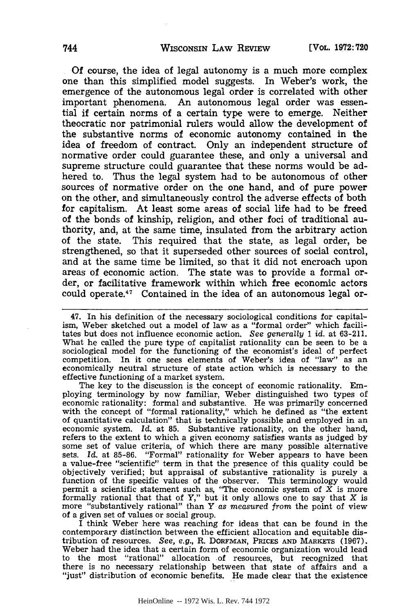Of course, the idea of legal autonomy is a much more complex one than this simplified model suggests. In Weber's work, the emergence of the autonomous legal order is correlated with other important phenomena. An autonomous legal order was essential if certain norms of a certain type were to emerge. Neither theocratic nor patrimonial rulers would allow the development of the substantive norms of economic autonomy contained in the idea of freedom of contract. Only an independent structure of normative order could guarantee these, and only a universal and supreme structure could guarantee that these norms would be adhered to. Thus the legal system had to be autonomous of other sources of normative order on the one hand, and of pure power on the other, and simultaneously control the adverse effects of both for capitalism. At least some areas of social life had to be freed of the bonds of kinship, religion, and other foci of traditional authority, and, at the same time, insulated from the arbitrary action of the state. This required that the state, as legal order, be strengthened, so that it superseded other sources of social control, and at the same time be limited, so that it did not encroach upon areas of economic action. The state was to provide a formal order, or facilitative framework within which free economic actors could operate.<sup>47</sup> Contained in the idea of an autonomous legal or-

47. In his definition of the necessary sociological conditions for capitalism, Weber sketched out a model of law as a "formal order" which facilitates but does not influence economic action. *See generally* 1 *id.* at 63-211. What he called the pure type of capitalist rationality can be seen to be a sociological model for the functioning of the economist's ideal of perfect competition. In it one sees elements of Weber's idea of "law" as an economically neutral structure of state action which is necessary to the effective functioning of a market system. The key to the discussion is the concept of economic rationality. Em-

ploying terminology by now familiar, Weber distinguished two types of economic rationality: formal and substantive. He was primarily concerned with the concept of "formal rationality," which he defined as "the extent of quantitative calculation" that is technically possible and employed in an economic system. *Id.* at 85. Substantive rationality, on the other hand, economic system. Id. at 85. Substantive rationality, on the other hand, refers to the extent to which a given economy satisfies wants as judged by some set of value criteria, of which there are many possible alternative sets. *Id.* at 85-86. "Formal" rationality for Weber appears to have been a value-free "scientific" term in that the presence of this quality could be objectively verified; but appraisal of substantive rationality is purely a function of the specific values of the observer. This terminology would permit a scientific statement such as, "The economic system of  $X$  is more formally rational that that of Y," but it only allows one to say that X is<br>more "substantively rational" than Y as measured from the point of view of a given set of values or social group.

I think Weber here was reaching for ideas that can be found in the contemporary distinction between the efficient allocation and equitable distribution of resources. *See, e.g.,* R. DORFMAN, PRICES **AND** MARKETS (1967). Weber had the idea that a certain form of economic organization would lead to the most "rational" allocation of resources, but recognized that there is no necessary relationship between that state of affairs and a "just" distribution of economic benefits. He made clear that the existence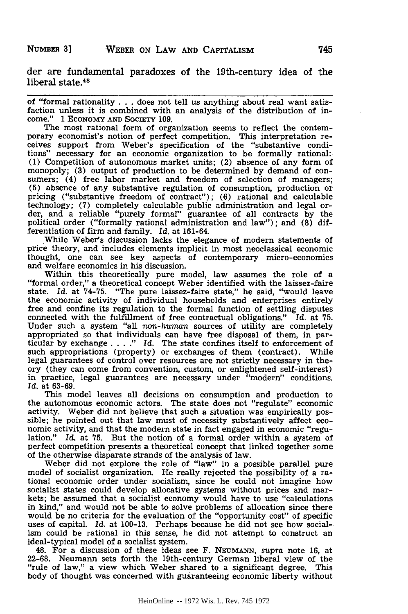der are fundamental paradoxes of the 19th-century idea of the liberal state.<sup>48</sup>

of "formal rationality **...** does not tell us anything about real want satisfaction unless it is combined with an analysis of the distribution of income." **1 ECONOMY AND SOCIETY 109.**

The most rational form of organization seems to reflect the contemporary economist's notion of perfect competition. This interpretation receives support from Weber's specification of the "substantive conditions" necessary for an economic organization to be formally rational: (1) Competition of autonomous market units; (2) absence of any form of monopoly; (3) output of production to be determined by demand of consumers; (4) free labor market and freedom of selection of managers; (5) absence of any substantive regulation of consumption, production or pricing ("substantive freedom of contract"); (6) rational and calculable technology; (7) completely calculable public administration and legal order, and a reliable "purely formal" guarantee of all contracts **by** the political order ("formally rational administration and law"); and (8) differentiation of firm and family. *Id.* at 161-64.

While Weber's discussion lacks the elegance of modern statements of price theory, and includes elements implicit in most neoclassical economic thought, one can see key aspects of contemporary micro-economics and welfare economics in his discussion.

Within this theoretically pure model, law assumes the role of a "formal order," a theoretical concept Weber identified with the laissez-faire state. Id. at **74-75.** "The pure laissez-faire state," he said, "would leave the economic activity of individual households and enterprises entirely free and confine its regulation to the formal function of settling disputes connected with the fulfillment of free contractual obligations." **Id.** at **75.** Under such a system "all *non-human* sources of utility are completely appropriated so that individuals can have free disposal of them, in particular **by** exchange . **. . ."** *Id.* The state confines itself to enforcement of such appropriations (property) or exchanges of them (contract). While legal guarantees of control over resources are not strictly necessary in theory (they can come from convention, custom, or enlightened self-interest) in practice, legal guarantees are necessary under "modern" conditions. *Id.* at **63-69.**

This model leaves all decisions on consumption and production to the autonomous economic actors. The state does not "regulate" economic activity. Weber did not believe that such a situation was empirically possible; he pointed out that law must of necessity substantively affect economic activity, and that the modern state in fact engaged in economic "regulation." **Id.** at **75.** But the notion of a formal order within a system of perfect competition presents a theoretical concept that linked together some of the otherwise disparate strands of the analysis of law.

Weber did not explore the role of "law" in a possible parallel pure model of socialist organization. He really rejected the possibility of a rational economic order under socialism, since he could not imagine how socialist states could develop allocative systems without prices and mar- kets; he assumed that a socialist economy would have to use "calculations in kind," and would not be able to solve problems of allocation since there would be no criteria for the evaluation of the "opportunity cost" of specific uses of capital. *Id.* at **100-13.** Perhaps because he did not see how socialism could be rational in this sense, he did not attempt to construct an ideal-typical model of a socialist system.

48. For a discussion of these ideas see F. **NEUMANN,** sup'ra note **16,** at 22-68. Neumann sets forth the 19th-century German liberal view of the "rule of law," a view which Weber shared to a significant degree. This body of thought was concerned with guaranteeing economic liberty without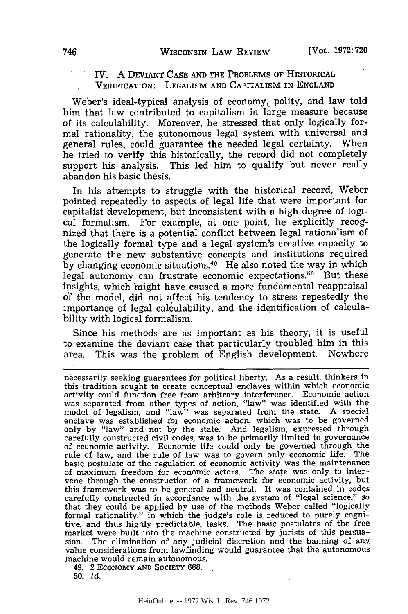## IV. A DEVIANT CASE AND THE PROBLEMS OF HISTORICAL VERIFICATION: LEGALISM AND CAPITALISM IN ENGLAND

Weber's ideal-typical analysis of economy, polity, and law told him that law contributed to capitalism in large measure because of its calculability. Moreover, he stressed that only logically formal rationality, the autonomous legal system with universal and general rules, could guarantee the needed legal certainty. When he tried to verify this historically, the record did not completely support his analysis. This led him to qualify but never really abandon his basic thesis.

In his attempts to struggle with the historical record, Weber pointed repeatedly to aspects of legal life that were important for capitalist development, but inconsistent with a high degree of logical formalism. For example, at one point, he explicitly recognized that there is a potential conflict between legal rationalism of the logically formal type and a legal system's creative capacity to generate the new substantive concepts and institutions required by changing economic situations.<sup>49</sup> He also noted the way in which legal autonomy can frustrate economic expectations.<sup>50</sup> But these insights, which might have caused a more fundamental reappraisal of the model, did not affect his tendency to stress repeatedly the importance of legal calculability, and the identification of calculability with logical formalism.

Since his methods are as important as his theory, it is useful to examine the deviant case that particularly troubled him in this area. This was the problem of English development. Nowhere

49. 2 ECONOMY **AND SOCIETY 688.**

50. *Id.*

necessarily seeking guarantees for political liberty. As a result, thinkers in this tradition sought to create conceptual enclaves within which economic activity could function free from arbitrary interference. Economic action was separated from other types of action, "law" was identified with the model of legalism, and "law" was separated from the state. A special enclave was established for economic action, which was to be governed only by "law" and not by the state. And legalism, expressed through carefully constructed civil codes, was to be primarily limited to governance of economic activity. Economic life could only be governed through the rule of law, and the rule of law was to govern only economic life. The basic postulate of the regulation of economic activity was the maintenance of maximum freedom for economic actors. The state was only to intervene through the construction of a framework for economic activity, but this framework was to be general and neutral. It was contained in codes carefully constructed in accordance with the system of "legal science," so that they could be applied by use of the methods Weber called "logically formal rationality," in which the judge's role is reduced to purely cognitive, and thus highly predictable, tasks. The basic postulates of the free market were built into the machine constructed by jurists of this persuasion. The elimination of any judicial discretion and the banning of any value considerations from lawfinding would guarantee that the autonomous machine would remain autonomous.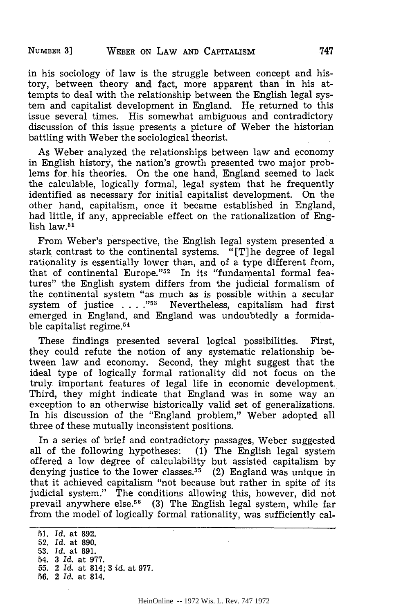**NUMBER 31**

in his sociology of law is the struggle between concept and history, between theory and fact, more apparent than in his attempts to deal with the relationship between the English legal system and capitalist development in England. He returned to this issue several times. His somewhat ambiguous and contradictory discussion of this issue presents a picture of Weber the historian battling with Weber the sociological theorist.

As Weber analyzed the relationships between law and economy in English history, the nation's growth presented two major problems for his theories. On the one hand, England seemed to lack the calculable, logically formal, legal system that he frequently identified as necessary for initial capitalist development. On the other hand, capitalism, once it became established in England, had little, if any, appreciable effect on the rationalization of English law.<sup>51</sup>

From Weber's perspective, the English legal system presented a stark contrast to the continental systems. "[T] he degree of legal rationality is essentially lower than, and of a type different from, that of continental Europe." $52$  In its "fundamental formal features" the English system differs from the judicial formalism of the continental system "as much as is possible within a secular system of justice . **.** . **-53** Nevertheless, capitalism had first emerged in England, and England was undoubtedly a formidable capitalist regime.<sup>54</sup>

These findings presented several logical possibilities. First, they could refute the notion of any systematic relationship between law and economy. Second, they might suggest that the ideal type of logically formal rationality did not focus on the truly important features of legal life in economic development. Third, they might indicate that England was in some way an exception to an otherwise historically valid set of generalizations. In his discussion of the "England problem," Weber adopted all three of these mutually inconsistent positions.

In a series of brief and contradictory passages, Weber suggested all of the following hypotheses: (1) The English legal system offered a low degree of calculability but assisted capitalism by denying justice to the lower classes.<sup>55</sup> (2) England was unique in that it achieved capitalism "not because but rather in spite of its judicial system." The conditions allowing this, however, did not prevail anywhere else.<sup>56</sup> (3) The English legal system, while far from the model of logically formal rationality, was sufficiently cal-

**56.** 2 *Id.* at 814.

<sup>51.</sup> *Id.* at 892.

<sup>52.</sup> *Id.* at 890.

<sup>53.</sup> *Id.* at 891. 54. 3 *Id.* at 977.

<sup>55. 2</sup> *Id.* at 814; 3 *id.* at 977.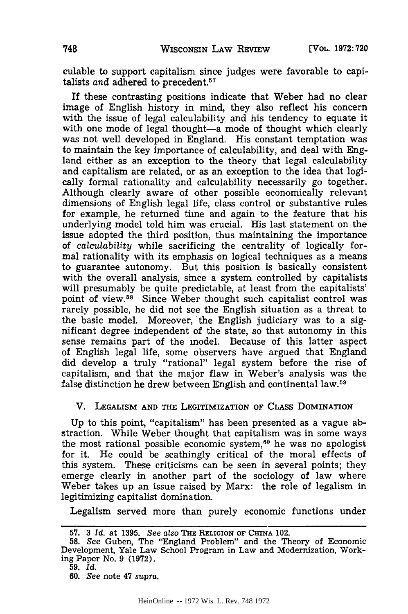culable to support capitalism since judges were favorable to capitalists *and* adhered to precedent.<sup>57</sup>

If these contrasting positions indicate that Weber had no clear image of English history in mind, they also reflect his concern with the issue of legal calculability and his tendency to equate it with one mode of legal thought-a mode of thought which clearly was not well developed in England. His constant temptation was to maintain the key importance of calculability, and deal with England either as an exception to the theory that legal calculability and capitalism are related, or as an exception to the idea that logically formal rationality and calculability necessarily go together. Although clearly aware of other possible economically relevant dimensions of English legal life, class control or substantive rules for example, he returned time and again to the feature that his underlying model told him was crucial. His last statement on the issue adopted the third position, thus maintaining the importance of *calculability* while sacrificing the centrality of logically formal rationality with its emphasis on logical techniques as a means to guarantee autonomy. But this position is basically consistent with the overall analysis, since a system controlled by capitalists will presumably be quite predictable, at least from the capitalists' point of view.<sup>58</sup> Since Weber thought such capitalist control was rarely possible, he did not see the English situation as a threat to the basic model. Moreover, the English judiciary was to a significant degree independent of the state, so that autonomy in this sense remains part of the model. Because of this latter aspect of English legal life, some observers have argued that England did develop a truly "rational" legal system before the rise of capitalism, and that the major flaw in Weber's analysis was the false distinction he drew between English and continental law.<sup>59</sup>

## V. **LEGALISM AND THE LEGITIMIZATION** OF CLASS DOMINATION

Up to this point, "capitalism" has been presented as a vague abstraction. While Weber thought that capitalism was in some ways the most rational possible economic system, $60$  he was no apologist for it. He could be scathingly critical of the moral effects of this system. These criticisms can be seen in several points; they emerge clearly in another part of the sociology of law where Weber takes up an issue raised by Marx: the role of legalism in legitimizing capitalist domination.

Legalism served more than purely economic functions under

**<sup>57. 3</sup>** *Id.* at **1395.** *See* also **THE** RELIGION OF **CHINA** 102.

**<sup>58.</sup>** *See* Guben, The "England Problem" and the Theory of Economic Development, Yale Law School **Program in** Law and Modernization, Working Paper No. 9 **(1972).**

<sup>59.</sup> Id.

<sup>60.</sup> *See* note 47 supra.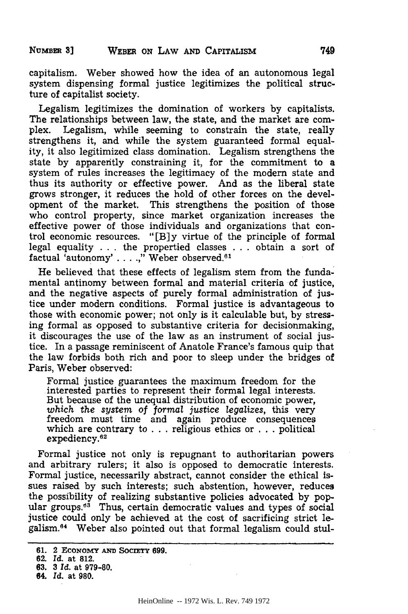capitalism. Weber showed how the idea of an autonomous legal system dispensing formal justice legitimizes the political structure of capitalist society.

Legalism legitimizes the domination of workers **by** capitalists. The relationships between law, the state, and the market are complex. Legalism, while seeming to constrain the state, really strengthens it, and while the system guaranteed formal equality, it also legitimized class domination. Legalism strengthens the state **by** appareritly constraining it, for the commitment to a system of rules increases the legitimacy of the modem state and thus its authority or effective power. And as the liberal state grows stronger, it reduces the hold of other forces on the development of the market. This strengthens the position of those who control property, since market organization increases the effective power of those individuals and organizations that control economic resources. **"[B]y** virtue of the principle of formal legal equality **. . .** the propertied classes **. . .** obtain a sort of factual 'autonomy' **. . . .,"** Weber observed.61

**He** believed that these effects of legalism stem from the fundamental antinomy between formal and material criteria of justice, and the negative aspects of purely formal administration of justice under modern conditions. Formal justice is advantageous to those with economic power; not only is it calculable but, **by** stressing formal as opposed to substantive criteria for decisionmaking, it discourages the use of the law as an instrument of social justice. In a passage reminiscent of Anatole France's famous quip that the law forbids both rich and poor to sleep under the bridges of Paris, Weber observed:

Formal justice guarantees the maximum freedom for the interested parties to represent their formal legal interests. But because of the unequal distribution of economic power, *which the system of formal justice legalizes,* this very freedom must time and again produce consequences which are contrary to  $\ldots$  religious ethics or  $\ldots$  political expediency.<sup>62</sup>

Formal justice not only is repugnant to authoritarian powers and arbitrary rulers; it also is opposed to democratic interests. Formal justice, necessarily abstract, cannot consider the ethical issues raised by such interests; such abstention, however, reduces the possibility of realizing substantive policies advocated by popular groups.<sup>63</sup> Thus, certain democratic values and types of social justice could only be achieved at the cost of sacrificing strict legalism.6 4 Weber also pointed out that formal legalism could stul-

**<sup>61.</sup>** 2 **ECONOMY AND SOCIETY 699.**

**<sup>62.</sup> Id.** at **812.**

**<sup>63. 3</sup>** *Id.* at **979-80.**

<sup>64.</sup> *Id.* at **980.**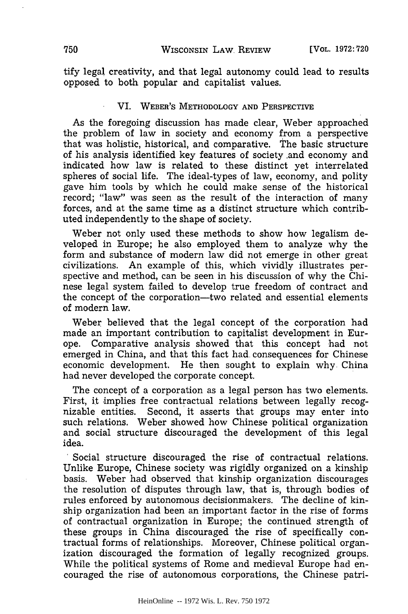tify legal creativity, and that legal autonomy could lead to results opposed to both popular and capitalist values.

## VI. **WEBER'S METHODOLOGY AND PERSPECTIVE**

As the foregoing discussion has made clear, Weber approached the problem of law in society and economy from a perspective that was holistic, historical, and comparative. The basic structure of his analysis identified key features of society .and economy and indicated how law is related to these distinct yet interrelated spheres of social life. The ideal-types of law, economy, and polity gave him tools by which he could make sense of the historical record; "law" was seen as the result of the interaction of many forces, and at the same time as a distinct structure which contributed independently to the shape of society.

Weber not only used these methods to show how legalism developed in Europe; he also employed them to analyze why the form and substance of modern law did not emerge in other great civilizations. An example of this, which vividly illustrates perspective and method, can be seen in his discussion of why the Chinese legal system failed to develop true freedom of contract and the concept of the corporation-two related and essential elements of modern law.

Weber believed that the legal concept of the corporation had made an important contribution to capitalist development in Europe. Comparative analysis showed that this concept had not emerged in China, and that this fact had. consequences for Chinese economic development. He then sought to explain why China had never developed the corporate concept.

The concept of a corporation as a legal person has two elements. First, it implies free contractual relations between legally recognizable entities. Second, it asserts that groups may enter into such relations. Weber showed how Chinese political organization and social structure discouraged the development of this legal idea.

.Social structure discouraged the rise of contractual relations. Unlike Europe, Chinese society was rigidly organized on a kinship basis. Weber had observed that kinship organization discourages the resolution of disputes through law, that is, through bodies of rules enforced by autonomous decisionmakers. The decline of kinship organization had been an important factor in the rise of forms of contractual organization in Europe; the continued strength of these groups in China discouraged the rise of specifically contractual forms of relationships. Moreover, Chinese political organization discouraged the formation of legally recognized groups. While the political systems of Rome and medieval Europe had encouraged the rise of autonomous corporations, the Chinese patri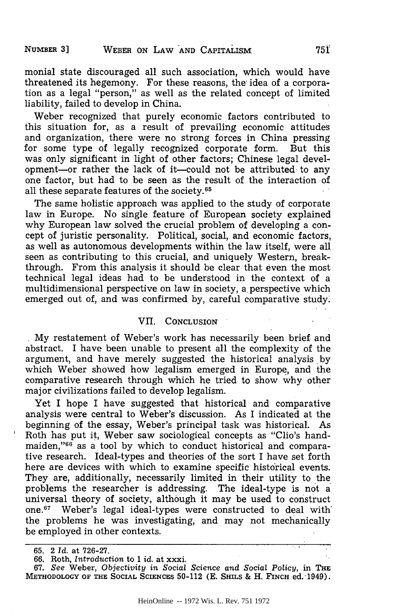monial state discouraged all such association, which would have threatened its hegemony. For these reasons, the idea of a corporation as a legal "person," as well as the related concept of limited liability, failed to develop in China.

Weber recognized that purely economic factors contributed to this situation for, as a result of prevailing economic attitudes and organization, there were no strong forces in China pressing for some type of legally recognized corporate form. But this was only significant in light of other factors; Chinese legal development-or rather the lack of it-could not be attributed to any one factor, but had to be seen as the result of the interaction of all these separate features of the society.<sup>65</sup>

The same holistic approach was applied to the study of corporate law in Europe. No single feature of European society explained why European law solved the crucial problem of developing a concept of juristic personality. Political, social, and economic factors, as well as autonomous developments within the law itself, were all seen as contributing to this crucial, and uniquely Western, breakthrough. From this analysis it should be clear that even the most technical legal ideas had to be understood in the context of a multidimensional perspective on law in society, a perspective which emerged out of, and was confirmed by, careful comparative study.

#### VII. CONCLUSION

My restatement of Weber's work has necessarily been brief and abstract. I have been unable to present all the complexity of the argument, and have merely suggested the historical analysis by which Weber showed how legalism emerged in Europe, and the comparative research through which he tried to show why other major civilizations failed to develop legalism.

Yet I hope I have suggested that historical and comparative analysis were central to Weber's discussion. As I indicated at the beginning of the essay, Weber's principal task was historical. As Roth has put it, Weber saw sociological concepts as "Clio's handmaiden,"<sup>66</sup> as a tool by which to conduct historical and comparative research. Ideal-types and theories of the sort I have set forth here are devices with which to examine specific historical events. They are, additionally, necessarily limited in their utility to the problems the researcher is addressing. The ideal-type is not a universal theory of society, although it may be used to construct one.<sup>67</sup> Weber's legal ideal-types were constructed to deal with the problems he was investigating, and may not mechanically be employed in other contexts.

**<sup>65.</sup>** 2 *Id.* **at** 726-27.

**<sup>66.</sup>** Roth, *Introduction* to **1** *id.* at xxxi.

<sup>67.</sup> *See* Weber, *Objectivity in Social* Science *and Social Policy,* in **THE** METHODOLOGY OF THE SOCIAL SCIENCEs 50-112 (E. **SHILS** & H. FINCH ed.-1949).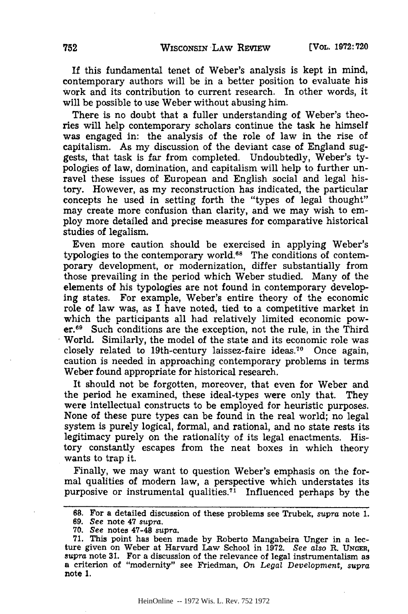**If** this fundamental tenet of Weber's analysis is kept in mind, contemporary authors will be in a better position to evaluate his work and its contribution to current research. In other words, it will be possible to use Weber without abusing him.

There is no doubt that a fuller understanding of Weber's theories will help contemporary scholars continue the task he himself was engaged in: the analysis of the role of law in the rise of capitalism. As my discussion of the deviant case of England suggests, that task is far from completed. Undoubtedly, Weber's typologies of law, domination, and capitalism will help to further unravel these issues of European and English social and legal history. However, as my reconstruction has indicated, the particular concepts he used in setting forth the "types of legal thought" may create more confusion than clarity, and we may wish to employ more detailed and precise measures for comparative historical studies of legalism.

Even more caution should be exercised in applying Weber's typologies to the contemporary world.<sup>68</sup> The conditions of contemporary development, or modernization, differ substantially from those prevailing in the period which Weber studied. Many of the elements of his typologies are not found in contemporary developing states. For example, Weber's entire theory of the economic role of law was, as I have noted, tied to a competitive market in which the participants all had relatively limited economic power.69 Such conditions are the exception, not the rule, in the Third World. Similarly, the model of the state and its economic role was closely related to 19th-century laissez-faire ideas.70 Once again, caution is needed in approaching contemporary problems in terms Weber found appropriate for historical research.

It should not be forgotten, moreover, that even for Weber and the period he examined, these ideal-types were only that. They were intellectual constructs to be employed for heuristic purposes. None of these pure types can be found in the real world; no legal system is purely logical, formal, and rational, and no state rests its legitimacy purely on the rationality of its legal enactments. History constantly escapes from the neat boxes in which theory wants to trap it.

Finally, we may want to question Weber's emphasis on the formal qualities of modern law, a perspective which understates its purposive or instrumental qualities.<sup>71</sup> Influenced perhaps by the

**<sup>68.</sup>** For a detailed discussion of these problems see Trubek, *supra* note 1.

**<sup>69.</sup>** See note 47 *supra.* **70.** *See* notes 47-48 *supra.*

**<sup>71.</sup>** This point has been made by Roberto Mangabeira Unger in a lecture given on Weber at Harvard Law School in 1972. *See also* R. UNGEr, supra note 31. For a discussion of the relevance of legal instrumentalism as a criterion of "modernity" see Friedman, *On Legal Development, supra* note **1.**